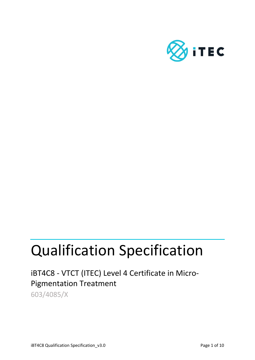

# Qualification Specification

iBT4C8 - VTCT (ITEC) Level 4 Certificate in Micro-Pigmentation Treatment

603/4085/X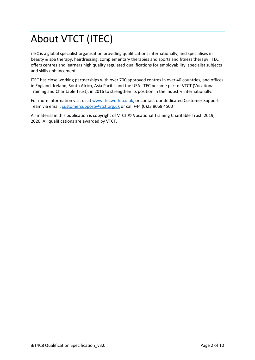# About VTCT (ITEC)

iTEC is a global specialist organisation providing qualifications internationally, and specialises in beauty & spa therapy, hairdressing, complementary therapies and sports and fitness therapy. iTEC offers centres and learners high quality regulated qualifications for employability, specialist subjects and skills enhancement.

iTEC has close working partnerships with over 700 approved centres in over 40 countries, and offices in England, Ireland, South Africa, Asia Pacific and the USA. iTEC became part of VTCT (Vocational Training and Charitable Trust), in 2016 to strengthen its position in the industry internationally.

For more information visit us a[t www.itecworld.co.uk,](http://www.itecworld.co.uk/) or contact our dedicated Customer Support Team via email[; customersupport@vtct.org.uk](mailto:customersupport@vtct.org.uk) or call +44 (0)23 8068 4500

All material in this publication is copyright of VTCT © Vocational Training Charitable Trust, 2019, 2020. All qualifications are awarded by VTCT.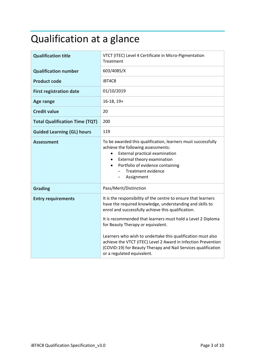# Qualification at a glance

| <b>Qualification title</b>            | VTCT (ITEC) Level 4 Certificate in Micro-Pigmentation<br>Treatment                                                                                                                                                                                                                                                                                  |  |
|---------------------------------------|-----------------------------------------------------------------------------------------------------------------------------------------------------------------------------------------------------------------------------------------------------------------------------------------------------------------------------------------------------|--|
| <b>Qualification number</b>           | 603/4085/X                                                                                                                                                                                                                                                                                                                                          |  |
| <b>Product code</b>                   | iBT4C8                                                                                                                                                                                                                                                                                                                                              |  |
| <b>First registration date</b>        | 01/10/2019                                                                                                                                                                                                                                                                                                                                          |  |
| <b>Age range</b>                      | $16-18, 19+$                                                                                                                                                                                                                                                                                                                                        |  |
| <b>Credit value</b>                   | 20                                                                                                                                                                                                                                                                                                                                                  |  |
| <b>Total Qualification Time (TQT)</b> | 200                                                                                                                                                                                                                                                                                                                                                 |  |
| <b>Guided Learning (GL) hours</b>     | 119                                                                                                                                                                                                                                                                                                                                                 |  |
| Assessment                            | To be awarded this qualification, learners must successfully<br>achieve the following assessments:<br>External practical examination<br>External theory examination<br>Portfolio of evidence containing<br><b>Treatment evidence</b><br>Assignment<br>-                                                                                             |  |
| <b>Grading</b>                        | Pass/Merit/Distinction                                                                                                                                                                                                                                                                                                                              |  |
| <b>Entry requirements</b>             | It is the responsibility of the centre to ensure that learners<br>have the required knowledge, understanding and skills to<br>enrol and successfully achieve this qualification.<br>It is recommended that learners must hold a Level 2 Diploma<br>for Beauty Therapy or equivalent.<br>Learners who wish to undertake this qualification must also |  |
|                                       | achieve the VTCT (ITEC) Level 2 Award in Infection Prevention<br>(COVID-19) for Beauty Therapy and Nail Services qualification<br>or a regulated equivalent.                                                                                                                                                                                        |  |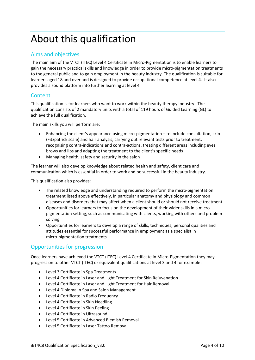## About this qualification

### Aims and objectives

The main aim of the VTCT (ITEC) Level 4 Certificate in Micro-Pigmentation is to enable learners to gain the necessary practical skills and knowledge in order to provide micro-pigmentation treatments to the general public and to gain employment in the beauty industry. The qualification is suitable for learners aged 18 and over and is designed to provide occupational competence at level 4. It also provides a sound platform into further learning at level 4.

### **Content**

This qualification is for learners who want to work within the beauty therapy industry. The qualification consists of 2 mandatory units with a total of 119 hours of Guided Learning (GL) to achieve the full qualification.

The main skills you will perform are:

- Enhancing the client's appearance using micro-pigmentation to include consultation, skin (Fitzpatrick scale) and hair analysis, carrying out relevant tests prior to treatment, recognising contra-indications and contra-actions, treating different areas including eyes, brows and lips and adapting the treatment to the client's specific needs
- Managing health, safety and security in the salon

The learner will also develop knowledge about related health and safety, client care and communication which is essential in order to work and be successful in the beauty industry.

This qualification also provides:

- The related knowledge and understanding required to perform the micro-pigmentation treatment listed above effectively, in particular anatomy and physiology and common diseases and disorders that may affect when a client should or should not receive treatment
- Opportunities for learners to focus on the development of their wider skills in a micropigmentation setting, such as communicating with clients, working with others and problem solving
- Opportunities for learners to develop a range of skills, techniques, personal qualities and attitudes essential for successful performance in employment as a specialist in micro-pigmentation treatments

### Opportunities for progression

Once learners have achieved the VTCT (ITEC) Level 4 Certificate in Micro-Pigmentation they may progress on to other VTCT (ITEC) or equivalent qualifications at level 3 and 4 for example:

- Level 3 Certificate in Spa Treatments
- Level 4 Certificate in Laser and Light Treatment for Skin Rejuvenation
- Level 4 Certificate in Laser and Light Treatment for Hair Removal
- Level 4 Diploma in Spa and Salon Management
- Level 4 Certificate in Radio Frequency
- Level 4 Certificate in Skin Needling
- Level 4 Certificate in Skin Peeling
- Level 4 Certificate in Ultrasound
- Level 5 Certificate in Advanced Blemish Removal
- Level 5 Certificate in Laser Tattoo Removal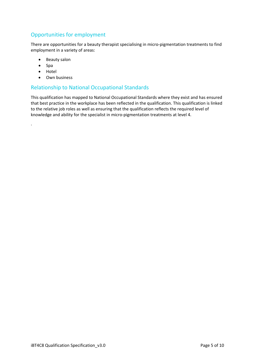### Opportunities for employment

There are opportunities for a beauty therapist specialising in micro-pigmentation treatments to find employment in a variety of areas:

- Beauty salon
- Spa
- Hotel

.

• Own business

### Relationship to National Occupational Standards

This qualification has mapped to National Occupational Standards where they exist and has ensured that best practice in the workplace has been reflected in the qualification. This qualification is linked to the relative job roles as well as ensuring that the qualification reflects the required level of knowledge and ability for the specialist in micro-pigmentation treatments at level 4.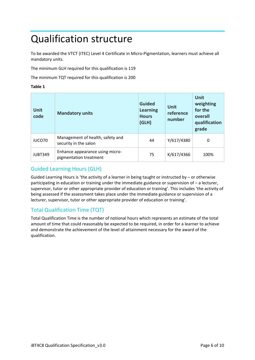### Qualification structure

To be awarded the VTCT (ITEC) Level 4 Certificate in Micro-Pigmentation, learners must achieve all mandatory units.

The minimum GLH required for this qualification is 119

The minimum TQT required for this qualification is 200

#### **Table 1**

| <b>Unit</b><br>code | <b>Mandatory units</b>                                    | <b>Guided</b><br><b>Learning</b><br><b>Hours</b><br>(GLH) | <b>Unit</b><br>reference<br>number | <b>Unit</b><br>weighting<br>for the<br>overall<br>qualification<br>grade |
|---------------------|-----------------------------------------------------------|-----------------------------------------------------------|------------------------------------|--------------------------------------------------------------------------|
| iUCO70              | Management of health, safety and<br>security in the salon | 44                                                        |                                    | 0                                                                        |
| iUBT349             | Enhance appearance using micro-<br>pigmentation treatment | 75                                                        | K/617/4366                         | 100%                                                                     |

### Guided Learning Hours (GLH)

Guided Learning Hours is 'the activity of a learner in being taught or instructed by  $-$  or otherwise participating in education or training under the immediate guidance or supervision of – a lecturer, supervisor, tutor or other appropriate provider of education or training'. This includes 'the activity of being assessed if the assessment takes place under the immediate guidance or supervision of a lecturer, supervisor, tutor or other appropriate provider of education or training'.

### Total Qualification Time (TQT)

Total Qualification Time is the number of notional hours which represents an estimate of the total amount of time that could reasonably be expected to be required, in order for a learner to achieve and demonstrate the achievement of the level of attainment necessary for the award of the qualification.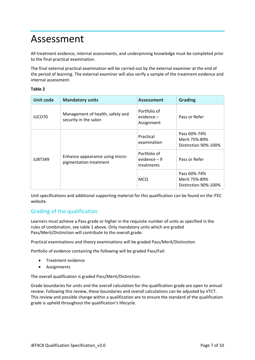### Assessment

All treatment evidence, internal assessments, and underpinning knowledge must be completed prior to the final practical examination.

The final external practical examination will be carried out by the external examiner at the end of the period of learning. The external examiner will also verify a sample of the treatment evidence and internal assessment.

#### **Table 2**

| <b>Unit code</b> | <b>Mandatory units</b>                                    | <b>Assessment</b>                           | <b>Grading</b>                                        |
|------------------|-----------------------------------------------------------|---------------------------------------------|-------------------------------------------------------|
| iUCO70           | Management of health, safety and<br>security in the salon | Portfolio of<br>evidence –<br>Assignment    | Pass or Refer                                         |
| <b>iUBT349</b>   |                                                           | Practical<br>examination                    | Pass 60%-74%<br>Merit 75%-89%<br>Distinction 90%-100% |
|                  | Enhance appearance using micro-<br>pigmentation treatment | Portfolio of<br>evidence $-9$<br>treatments | Pass or Refer                                         |
|                  |                                                           | <b>MCQ</b>                                  | Pass 60%-74%<br>Merit 75%-89%<br>Distinction 90%-100% |

Unit specifications and additional supporting material for this qualification can be found on the iTEC website.

### Grading of the qualification

Learners must achieve a Pass grade or higher in the requisite number of units as specified in the rules of combination, see table 1 above. Only mandatory units which are graded Pass/Merit/Distinction will contribute to the overall grade.

Practical examinations and theory examinations will be graded Pass/Merit/Distinction.

Portfolio of evidence containing the following will be graded Pass/Fail:

- Treatment evidence
- Assignments

The overall qualification is graded Pass/Merit/Distinction.

Grade boundaries for units and the overall calculation for the qualification grade are open to annual review. Following this review, these boundaries and overall calculations can be adjusted by VTCT. This review and possible change within a qualification are to ensure the standard of the qualification grade is upheld throughout the qualification's lifecycle.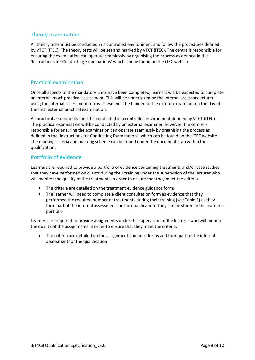### Theory examination

All theory tests must be conducted in a controlled environment and follow the procedures defined by VTCT (ITEC). The theory tests will be set and marked by VTCT (ITEC). The centre is responsible for ensuring the examination can operate seamlessly by organising the process as defined in the 'Instructions for Conducting Examinations' which can be found on the iTEC website.

### Practical examination

Once all aspects of the mandatory units have been completed, learners will be expected to complete an internal mock practical assessment. This will be undertaken by the internal assessor/lecturer using the internal assessment forms. These must be handed to the external examiner on the day of the final external practical examination.

All practical assessments must be conducted in a controlled environment defined by VTCT (ITEC). The practical examination will be conducted by an external examiner; however, the centre is responsible for ensuring the examination can operate seamlessly by organising the process as defined in the 'Instructions for Conducting Examinations' which can be found on the iTEC website. The marking criteria and marking scheme can be found under the documents tab within the qualification.

### Portfolio of evidence

Learners are required to provide a portfolio of evidence containing treatments and/or case studies that they have performed on clients during their training under the supervision of the lecturer who will monitor the quality of the treatments in order to ensure that they meet the criteria.

- The criteria are detailed on the treatment evidence guidance forms
- The learner will need to complete a client consultation form as evidence that they performed the required number of treatments during their training (see Table 1) as they form part of the internal assessment for the qualification. They can be stored in the learner's portfolio

Learners are required to provide assignments under the supervision of the lecturer who will monitor the quality of the assignments in order to ensure that they meet the criteria.

• The criteria are detailed on the assignment guidance forms and form part of the internal assessment for the qualification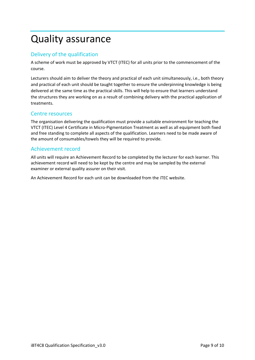### Quality assurance

### Delivery of the qualification

A scheme of work must be approved by VTCT (ITEC) for all units prior to the commencement of the course.

Lecturers should aim to deliver the theory and practical of each unit simultaneously, i.e., both theory and practical of each unit should be taught together to ensure the underpinning knowledge is being delivered at the same time as the practical skills. This will help to ensure that learners understand the structures they are working on as a result of combining delivery with the practical application of treatments.

### Centre resources

The organisation delivering the qualification must provide a suitable environment for teaching the VTCT (ITEC) Level 4 Certificate in Micro-Pigmentation Treatment as well as all equipment both fixed and free standing to complete all aspects of the qualification. Learners need to be made aware of the amount of consumables/towels they will be required to provide.

### Achievement record

All units will require an Achievement Record to be completed by the lecturer for each learner. This achievement record will need to be kept by the centre and may be sampled by the external examiner or external quality assurer on their visit.

An Achievement Record for each unit can be downloaded from the iTEC website.